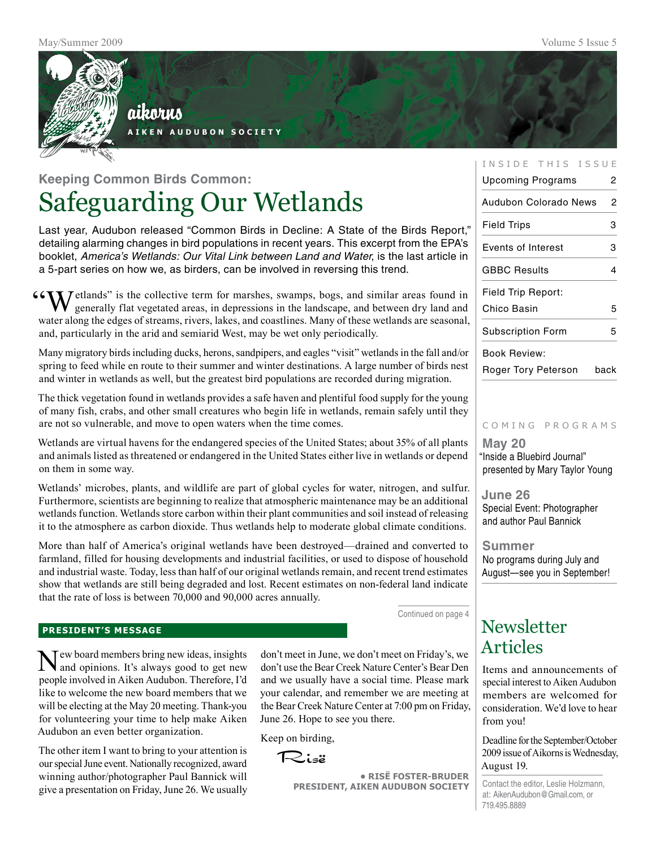

# **Keeping Common Birds Common:** Safeguarding Our Wetlands

Last year, Audubon released "Common Birds in Decline: A State of the Birds Report," detailing alarming changes in bird populations in recent years. This excerpt from the EPA's booklet, *America's Wetlands: Our Vital Link between Land and Water*, is the last article in a 5-part series on how we, as birders, can be involved in reversing this trend.

**"CAN** Jetlands" is the collective term for marshes, swamps, bogs, and similar areas found in  $\bf{V}$  generally flat vegetated areas, in depressions in the landscape, and between dry land and water along the edges of streams, rivers, lakes, and coastlines. Many of these wetlands are seasonal, and, particularly in the arid and semiarid West, may be wet only periodically.

Many migratory birds including ducks, herons, sandpipers, and eagles "visit" wetlands in the fall and/or spring to feed while en route to their summer and winter destinations. A large number of birds nest and winter in wetlands as well, but the greatest bird populations are recorded during migration.

The thick vegetation found in wetlands provides a safe haven and plentiful food supply for the young of many fish, crabs, and other small creatures who begin life in wetlands, remain safely until they are not so vulnerable, and move to open waters when the time comes.

Wetlands are virtual havens for the endangered species of the United States; about 35% of all plants and animals listed as threatened or endangered in the United States either live in wetlands or depend on them in some way.

Wetlands' microbes, plants, and wildlife are part of global cycles for water, nitrogen, and sulfur. Furthermore, scientists are beginning to realize that atmospheric maintenance may be an additional wetlands function. Wetlands store carbon within their plant communities and soil instead of releasing it to the atmosphere as carbon dioxide. Thus wetlands help to moderate global climate conditions.

More than half of America's original wetlands have been destroyed—drained and converted to farmland, filled for housing developments and industrial facilities, or used to dispose of household and industrial waste. Today, less than half of our original wetlands remain, and recent trend estimates show that wetlands are still being degraded and lost. Recent estimates on non-federal land indicate that the rate of loss is between 70,000 and 90,000 acres annually.

Continued on page 4

#### **president's message**

Tew board members bring new ideas, insights and opinions. It's always good to get new people involved in Aiken Audubon. Therefore, I'd like to welcome the new board members that we will be electing at the May 20 meeting. Thank-you for volunteering your time to help make Aiken Audubon an even better organization.

The other item I want to bring to your attention is our special June event. Nationally recognized, award winning author/photographer Paul Bannick will give a presentation on Friday, June 26. We usually

don't meet in June, we don't meet on Friday's, we don't use the Bear Creek Nature Center's Bear Den and we usually have a social time. Please mark your calendar, and remember we are meeting at the Bear Creek Nature Center at 7:00 pm on Friday, June 26. Hope to see you there.

Keep on birding,

Risë

**• RisË Foster-Bruder President, Aiken Audubon Society**

#### INSIDE THIS ISSUE

| Upcoming Programs         | 2 |
|---------------------------|---|
| Audubon Colorado News     | 2 |
| <b>Field Trips</b>        | з |
| <b>Events of Interest</b> | з |
| <b>GBBC Results</b>       | 4 |
| Field Trip Report:        |   |
| Chico Basin               | 5 |
| <b>Subscription Form</b>  | 5 |
| <b>Book Review:</b>       |   |

Roger Tory Peterson back

#### c o m i n g p r o g r a m s

**May 20** "Inside a Bluebird Journal" presented by Mary Taylor Young

**June 26** Special Event: Photographer and author Paul Bannick

**Summer** No programs during July and August—see you in September!

### **Newsletter** Articles

Items and announcements of special interest to Aiken Audubon members are welcomed for consideration. We'd love to hear from you!

Deadline for the September/October 2009 issue of Aikorns is Wednesday, August 19.

Contact the editor, Leslie Holzmann, at: AikenAudubon@Gmail.com, or 719.495.8889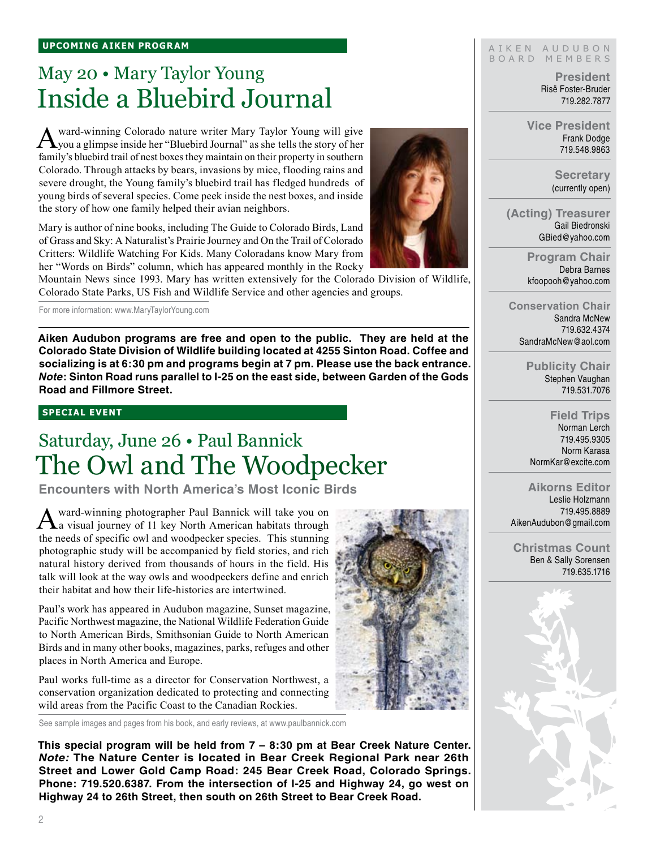# May 20 • Mary Taylor Young Inside a Bluebird Journal

A ward-winning Colorado nature writer Mary Taylor Young will give you a glimpse inside her "Bluebird Journal" as she tells the story of her family's bluebird trail of nest boxes they maintain on their property in southern Colorado. Through attacks by bears, invasions by mice, flooding rains and severe drought, the Young family's bluebird trail has fledged hundreds of young birds of several species. Come peek inside the nest boxes, and inside the story of how one family helped their avian neighbors.

Mary is author of nine books, including The Guide to Colorado Birds, Land of Grass and Sky: A Naturalist's Prairie Journey and On the Trail of Colorado Critters: Wildlife Watching For Kids. Many Coloradans know Mary from her "Words on Birds" column, which has appeared monthly in the Rocky

Mountain News since 1993. Mary has written extensively for the Colorado Division of Wildlife, Colorado State Parks, US Fish and Wildlife Service and other agencies and groups.

For more information: www.MaryTaylorYoung.com

**Aiken Audubon programs are free and open to the public. They are held at the Colorado State Division of Wildlife building located at 4255 Sinton Road. Coffee and socializing is at 6:30 pm and programs begin at 7 pm. Please use the back entrance.**  *Note***: Sinton Road runs parallel to I-25 on the east side, between Garden of the Gods Road and Fillmore Street.**

#### **special event**

# Saturday, June 26 • Paul Bannick The Owl and The Woodpecker

**Encounters with North America's Most Iconic Birds**

Award-winning photographer Paul Bannick will take you on a visual journey of 11 key North American habitats through the needs of specific owl and woodpecker species. This stunning photographic study will be accompanied by field stories, and rich natural history derived from thousands of hours in the field. His talk will look at the way owls and woodpeckers define and enrich their habitat and how their life-histories are intertwined.

Paul's work has appeared in Audubon magazine, Sunset magazine, Pacific Northwest magazine, the National Wildlife Federation Guide to North American Birds, Smithsonian Guide to North American Birds and in many other books, magazines, parks, refuges and other places in North America and Europe.

Paul works full-time as a director for Conservation Northwest, a conservation organization dedicated to protecting and connecting wild areas from the Pacific Coast to the Canadian Rockies.

See sample images and pages from his book, and early reviews, at www.paulbannick.com

**This special program will be held from 7 – 8:30 pm at Bear Creek Nature Center.**  *Note:* **The Nature Center is located in Bear Creek Regional Park near 26th Street and Lower Gold Camp Road: 245 Bear Creek Road, Colorado Springs. Phone: 719.520.6387. From the intersection of I-25 and Highway 24, go west on Highway 24 to 26th Street, then south on 26th Street to Bear Creek Road.**

#### AIKEN AUDUBON B O A R D M E M B E R S

**President** Risë Foster-Bruder 719.282.7877

**Vice President** Frank Dodge 719.548.9863

> **Secretary** (currently open)

**(Acting) Treasurer** Gail Biedronski GBied@yahoo.com

> **Program Chair** Debra Barnes kfoopooh@yahoo.com

**Conservation Chair** Sandra McNew 719.632.4374 SandraMcNew@aol.com

> **Publicity Chair** Stephen Vaughan 719.531.7076

**Field Trips** Norman Lerch 719.495.9305 Norm Karasa NormKar@excite.com

#### **Aikorns Editor**

Leslie Holzmann 719.495.8889 AikenAudubon@gmail.com

**Christmas Count** Ben & Sally Sorensen 719.635.1716



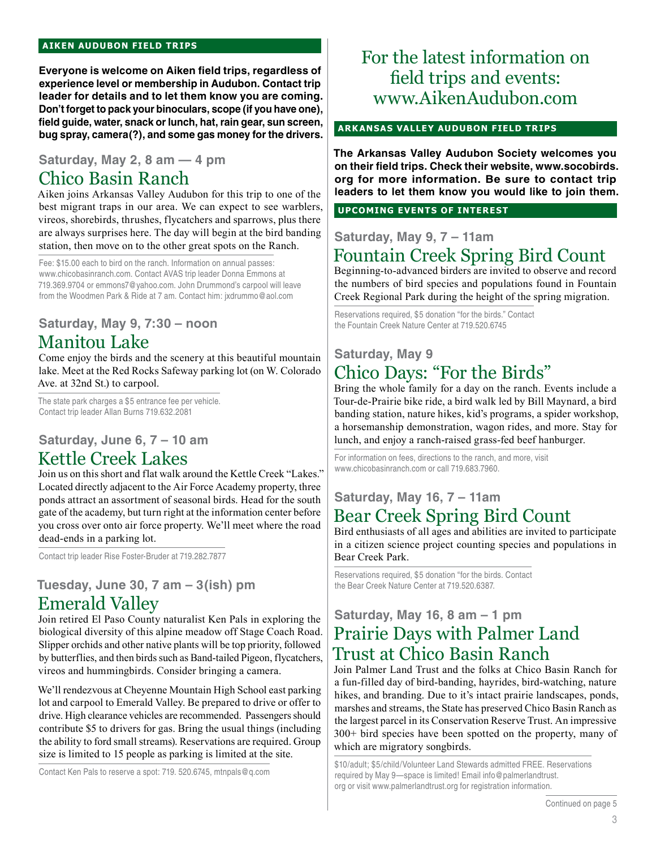#### **aiken audubon FIELD TRIPS**

**Everyone is welcome on Aiken field trips, regardless of experience level or membership in Audubon. Contact trip leader for details and to let them know you are coming. Don't forget to pack your binoculars, scope (if you have one), field guide, water, snack or lunch, hat, rain gear, sun screen, bug spray, camera(?), and some gas money for the drivers.** 

### **Saturday, May 2, 8 am — 4 pm**

### Chico Basin Ranch

Aiken joins Arkansas Valley Audubon for this trip to one of the best migrant traps in our area. We can expect to see warblers, vireos, shorebirds, thrushes, flycatchers and sparrows, plus there are always surprises here. The day will begin at the bird banding station, then move on to the other great spots on the Ranch.

Fee: \$15.00 each to bird on the ranch. Information on annual passes: www.chicobasinranch.com. Contact AVAS trip leader Donna Emmons at 719.369.9704 or emmons7@yahoo.com. John Drummond's carpool will leave from the Woodmen Park & Ride at 7 am. Contact him: jxdrummo@aol.com

### **Saturday, May 9, 7:30 – noon** Manitou Lake

Come enjoy the birds and the scenery at this beautiful mountain lake. Meet at the Red Rocks Safeway parking lot (on W. Colorado Ave. at 32nd St.) to carpool.

The state park charges a \$5 entrance fee per vehicle. Contact trip leader Allan Burns 719.632.2081

### **Saturday, June 6, 7 – 10 am** Kettle Creek Lakes

Join us on this short and flat walk around the Kettle Creek "Lakes." Located directly adjacent to the Air Force Academy property, three ponds attract an assortment of seasonal birds. Head for the south gate of the academy, but turn right at the information center before you cross over onto air force property. We'll meet where the road dead-ends in a parking lot.

Contact trip leader Rise Foster-Bruder at 719.282.7877

### **Tuesday, June 30, 7 am – 3(ish) pm**

### Emerald Valley

Join retired El Paso County naturalist Ken Pals in exploring the biological diversity of this alpine meadow off Stage Coach Road. Slipper orchids and other native plants will be top priority, followed by butterflies, and then birds such as Band-tailed Pigeon, flycatchers, vireos and hummingbirds. Consider bringing a camera.

We'll rendezvous at Cheyenne Mountain High School east parking lot and carpool to Emerald Valley. Be prepared to drive or offer to drive. High clearance vehicles are recommended. Passengers should contribute \$5 to drivers for gas. Bring the usual things (including the ability to ford small streams). Reservations are required. Group size is limited to 15 people as parking is limited at the site.

Contact Ken Pals to reserve a spot: 719. 520.6745, mtnpals@q.com

### For the latest information on field trips and events: www.AikenAudubon.com

#### **arkansas valley audubon FIELD TRIPs**

**The Arkansas Valley Audubon Society welcomes you on their field trips. Check their website, www.socobirds. org for more information. Be sure to contact trip leaders to let them know you would like to join them.**

**UPCOMING EVENTS OF INTEREST**

### **Saturday, May 9, 7 – 11am** Fountain Creek Spring Bird Count

Beginning-to-advanced birders are invited to observe and record the numbers of bird species and populations found in Fountain

Creek Regional Park during the height of the spring migration.

Reservations required, \$5 donation "for the birds." Contact the Fountain Creek Nature Center at 719.520.6745

### **Saturday, May 9** Chico Days: "For the Birds"

Bring the whole family for a day on the ranch. Events include a Tour-de-Prairie bike ride, a bird walk led by Bill Maynard, a bird banding station, nature hikes, kid's programs, a spider workshop, a horsemanship demonstration, wagon rides, and more. Stay for lunch, and enjoy a ranch-raised grass-fed beef hanburger.

For information on fees, directions to the ranch, and more, visit www.chicobasinranch.com or call 719.683.7960.

### **Saturday, May 16, 7 – 11am** Bear Creek Spring Bird Count

Bird enthusiasts of all ages and abilities are invited to participate in a citizen science project counting species and populations in Bear Creek Park.

Reservations required, \$5 donation "for the birds. Contact the Bear Creek Nature Center at 719.520.6387.

### **Saturday, May 16, 8 am – 1 pm** Prairie Days with Palmer Land Trust at Chico Basin Ranch

Join Palmer Land Trust and the folks at Chico Basin Ranch for a fun-filled day of bird-banding, hayrides, bird-watching, nature hikes, and branding. Due to it's intact prairie landscapes, ponds, marshes and streams, the State has preserved Chico Basin Ranch as the largest parcel in its Conservation Reserve Trust. An impressive 300+ bird species have been spotted on the property, many of which are migratory songbirds.

\$10/adult; \$5/child/Volunteer Land Stewards admitted FREE. Reservations required by May 9—space is limited! Email info@palmerlandtrust. org or visit www.palmerlandtrust.org for registration information.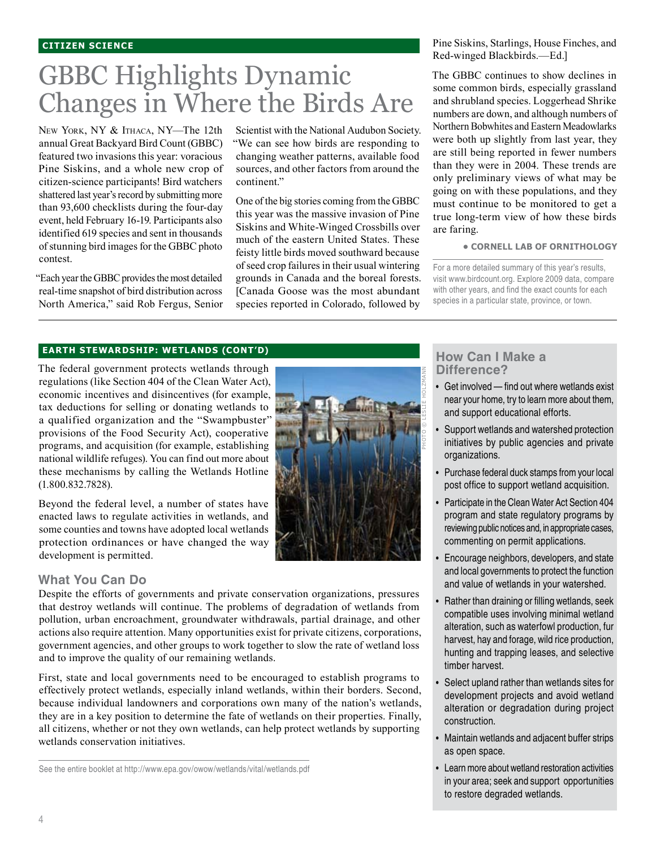# GBBC Highlights Dynamic Changes in Where the Birds Are

New York, NY & ITHACA, NY-The 12th annual Great Backyard Bird Count (GBBC) featured two invasions this year: voracious Pine Siskins, and a whole new crop of citizen-science participants! Bird watchers shattered last year's record by submitting more than 93,600 checklists during the four-day event, held February 16-19. Participants also identified 619 species and sent in thousands of stunning bird images for the GBBC photo contest.

"Each year the GBBC provides the most detailed real-time snapshot of bird distribution across North America," said Rob Fergus, Senior

Scientist with the National Audubon Society. "We can see how birds are responding to changing weather patterns, available food sources, and other factors from around the continent."

One of the big stories coming from the GBBC this year was the massive invasion of Pine Siskins and White-Winged Crossbills over much of the eastern United States. These feisty little birds moved southward because of seed crop failures in their usual wintering grounds in Canada and the boreal forests. [Canada Goose was the most abundant species reported in Colorado, followed by

Pine Siskins, Starlings, House Finches, and Red-winged Blackbirds.—Ed.]

The GBBC continues to show declines in some common birds, especially grassland and shrubland species. Loggerhead Shrike numbers are down, and although numbers of Northern Bobwhites and Eastern Meadowlarks were both up slightly from last year, they are still being reported in fewer numbers than they were in 2004. These trends are only preliminary views of what may be going on with these populations, and they must continue to be monitored to get a true long-term view of how these birds are faring.

#### **• cornell lab of ornithology**

For a more detailed summary of this year's results, visit www.birdcount.org. Explore 2009 data, compare with other years, and find the exact counts for each species in a particular state, province, or town.

#### **earth stewardship: wetlands (cont'd)**

The federal government protects wetlands through regulations (like Section 404 of the Clean Water Act), economic incentives and disincentives (for example, tax deductions for selling or donating wetlands to a qualified organization and the "Swampbuster" provisions of the Food Security Act), cooperative programs, and acquisition (for example, establishing national wildlife refuges). You can find out more about these mechanisms by calling the Wetlands Hotline (1.800.832.7828).

Beyond the federal level, a number of states have enacted laws to regulate activities in wetlands, and some counties and towns have adopted local wetlands protection ordinances or have changed the way development is permitted.



Despite the efforts of governments and private conservation organizations, pressures that destroy wetlands will continue. The problems of degradation of wetlands from pollution, urban encroachment, groundwater withdrawals, partial drainage, and other actions also require attention. Many opportunities exist for private citizens, corporations, government agencies, and other groups to work together to slow the rate of wetland loss and to improve the quality of our remaining wetlands.

First, state and local governments need to be encouraged to establish programs to effectively protect wetlands, especially inland wetlands, within their borders. Second, because individual landowners and corporations own many of the nation's wetlands, they are in a key position to determine the fate of wetlands on their properties. Finally, all citizens, whether or not they own wetlands, can help protect wetlands by supporting wetlands conservation initiatives.

See the entire booklet at http://www.epa.gov/owow/wetlands/vital/wetlands.pdf



### **How Can I Make a Difference?**

- Get involved find out where wetlands exist near your home, try to learn more about them, and support educational efforts. •
- Support wetlands and watershed protection initiatives by public agencies and private organizations. •
- Purchase federal duck stamps from your local post office to support wetland acquisition.
- Participate in the Clean Water Act Section 404 program and state regulatory programs by reviewing public notices and, in appropriate cases, commenting on permit applications.
- Encourage neighbors, developers, and state and local governments to protect the function and value of wetlands in your watershed. •
- Rather than draining or filling wetlands, seek compatible uses involving minimal wetland alteration, such as waterfowl production, fur harvest, hay and forage, wild rice production, hunting and trapping leases, and selective timber harvest. •
- Select upland rather than wetlands sites for development projects and avoid wetland alteration or degradation during project construction. •
- Maintain wetlands and adjacent buffer strips as open space.
- Learn more about wetland restoration activities in your area; seek and support opportunities to restore degraded wetlands.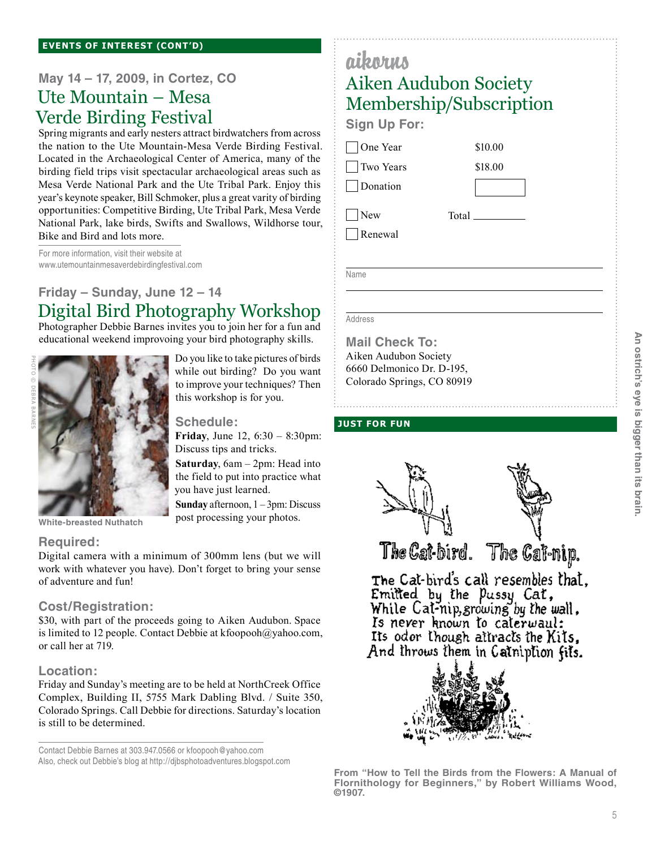## **May 14 – 17, 2009, in Cortez, CO**

### Ute Mountain – Mesa Verde Birding Festival

Spring migrants and early nesters attract birdwatchers from across the nation to the Ute Mountain-Mesa Verde Birding Festival. Located in the Archaeological Center of America, many of the birding field trips visit spectacular archaeological areas such as Mesa Verde National Park and the Ute Tribal Park. Enjoy this year's keynote speaker, Bill Schmoker, plus a great varity of birding opportunities: Competitive Birding, Ute Tribal Park, Mesa Verde National Park, lake birds, Swifts and Swallows, Wildhorse tour, Bike and Bird and lots more.

For more information, visit their website at www.utemountainmesaverdebirdingfestival.com

### **Friday – Sunday, June 12 – 14** Digital Bird Photography Workshop

Photographer Debbie Barnes invites you to join her for a fun and educational weekend improvoing your bird photography skills.



Do you like to take pictures of birds while out birding? Do you want to improve your techniques? Then this workshop is for you.

**Schedule:**

**Friday**, June 12, 6:30 – 8:30pm: Discuss tips and tricks.

**Saturday**, 6am – 2pm: Head into the field to put into practice what you have just learned.

**Sunday** afternoon, 1 – 3pm: Discuss post processing your photos.

### **Required:**

Digital camera with a minimum of 300mm lens (but we will work with whatever you have). Don't forget to bring your sense of adventure and fun!

#### **Cost/Registration:**

**White-breasted Nuthatch**

\$30, with part of the proceeds going to Aiken Audubon. Space is limited to 12 people. Contact Debbie at kfoopooh@yahoo.com, or call her at 719.

### **Location:**

Friday and Sunday's meeting are to be held at NorthCreek Office Complex, Building II, 5755 Mark Dabling Blvd. / Suite 350, Colorado Springs. Call Debbie for directions. Saturday's location is still to be determined.

Contact Debbie Barnes at 303.947.0566 or kfoopooh@yahoo.com Also, check out Debbie's blog at http://djbsphotoadventures.blogspot.com

# aikorus Aiken Audubon Society Membership/Subscription

\$10.00 \$18.00

**Sign Up For:**

One Year

 Two Years Donation

New

Renewal

Total

Name

 $\overline{a}$ 

Address

**Mail Check To:** Aiken Audubon Society 6660 Delmonico Dr. D-195, Colorado Springs, CO 80919

### **just for fun**



The Cat-bird. The Cat-nip.

The Cat-bird's call resembles that, Emilled by the Pussy Cat,<br>While Cal-nip, growing by the wall, Is never known to caterwaul: Its oder though attracts the Kits. And throws them in Catniption fits.



**From "How to Tell the Birds from the Flowers: A Manual of Flornithology for Beginners," by Robert Williams Wood, ©1907.**